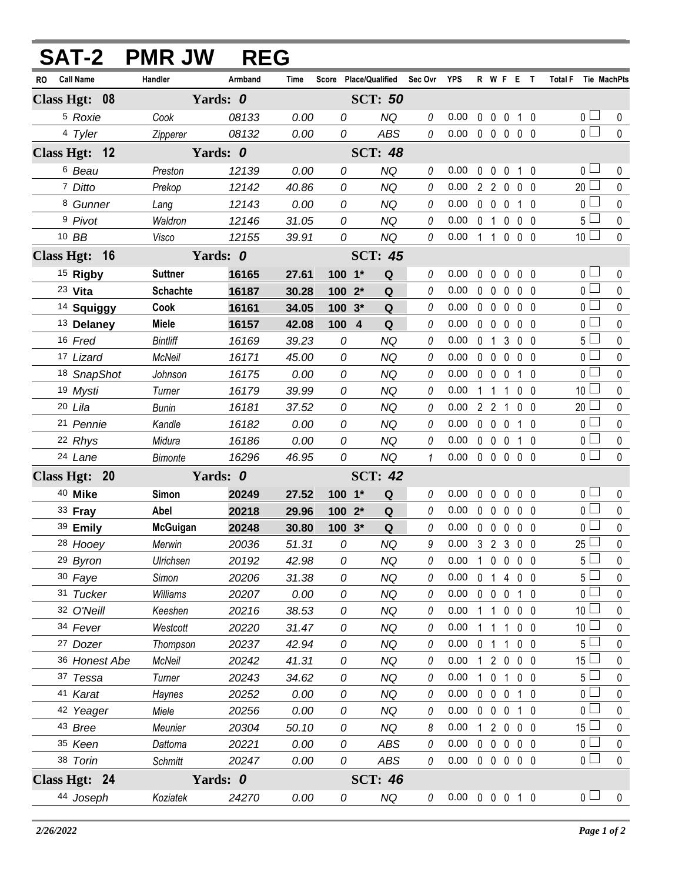|                        | <b>SAT-2 PMR JW</b> | <b>REG</b> |       |                                   |                |              |                            |                |                     |                   |                |                       |              |
|------------------------|---------------------|------------|-------|-----------------------------------|----------------|--------------|----------------------------|----------------|---------------------|-------------------|----------------|-----------------------|--------------|
| <b>Call Name</b><br>RO | Handler             | Armband    | Time  | Score Place/Qualified Sec Ovr YPS |                |              |                            |                |                     | R W F E T         |                | Total F Tie MachPts   |              |
| Class Hgt: 08          |                     | Yards: 0   |       |                                   | <b>SCT: 50</b> |              |                            |                |                     |                   |                |                       |              |
| <sup>5</sup> Roxie     | Cook                | 08133      | 0.00  | 0                                 | <b>NQ</b>      | 0            | 0.00                       |                | $0\quad 0$          | $\mathbf 0$       | 1 0            | 0 <sub>1</sub>        | 0            |
| 4 Tyler                | Zipperer            | 08132      | 0.00  | 0                                 | <b>ABS</b>     | 0            | $0.00 \t0 \t0 \t0 \t0 \t0$ |                |                     |                   |                | $\overline{0}$        | $\mathbf{0}$ |
| Class Hgt: 12          |                     | Yards: 0   |       |                                   | <b>SCT: 48</b> |              |                            |                |                     |                   |                |                       |              |
| <sup>6</sup> Beau      | Preston             | 12139      | 0.00  | 0                                 | <b>NQ</b>      | 0            | 0.00                       | $\mathbf 0$    | $\mathbf 0$         | $\mathbf 0$       | $1\quad 0$     | 0 <sub>0</sub>        | $\mathbf{0}$ |
| 7 Ditto                | Prekop              | 12142      | 40.86 | 0                                 | <b>NQ</b>      | 0            | 0.00                       |                |                     | 2 2 0 0 0         |                | $20$ $\Box$           | $\mathbf 0$  |
| <sup>8</sup> Gunner    | Lang                | 12143      | 0.00  | 0                                 | <b>NQ</b>      | 0            | 0.00                       |                | $0\quad 0\quad 0$   |                   | $1\quad0$      | $\overline{0}$        | $\mathbf 0$  |
| <sup>9</sup> Pivot     | Waldron             | 12146      | 31.05 | 0                                 | <b>NQ</b>      | 0            | 0.00                       |                |                     | 0 1 0 0 0         |                | 5 <sub>1</sub>        | $\pmb{0}$    |
| 10 BB                  | Visco               | 12155      | 39.91 | 0                                 | <b>NQ</b>      | 0            | 0.00                       |                | 1 1 0               |                   | 0 <sub>0</sub> | 10 <sup>1</sup>       | $\mathbf{0}$ |
| Class Hgt: 16          |                     | Yards: 0   |       | <b>SCT: 45</b>                    |                |              |                            |                |                     |                   |                |                       |              |
| <sup>15</sup> Rigby    | <b>Suttner</b>      | 16165      | 27.61 | $100 - 1*$                        | Q              | 0            | 0.00                       |                | $0\quad 0$          | $\mathbf 0$       | $0\quad 0$     | 0 <sub>0</sub>        | 0            |
| 23 Vita                | <b>Schachte</b>     | 16187      | 30.28 | 100 2*                            | Q              | 0            | 0.00                       |                | $0\quad 0$          | $\mathbf 0$       | 0 <sub>0</sub> | $\overline{0}$ $\Box$ | $\mathbf 0$  |
| <sup>14</sup> Squiggy  | Cook                | 16161      | 34.05 | 100 3*                            | Q              | 0            | 0.00                       |                | $0\quad 0\quad 0$   |                   | 0 <sub>0</sub> | 0 <sup>1</sup>        | $\mathbf 0$  |
| <sup>13</sup> Delaney  | <b>Miele</b>        | 16157      | 42.08 | 100 4                             | Q              | 0            | 0.00                       |                | $0\quad 0$          | $\mathbf 0$       | 0 <sub>0</sub> | $\overline{0}$        | $\mathbf 0$  |
| 16 Fred                | <b>Bintliff</b>     | 16169      | 39.23 | 0                                 | <b>NQ</b>      | 0            | 0.00                       |                |                     | 0 1 3 0 0         |                | 5 <sub>1</sub>        | $\mathbf 0$  |
| 17 Lizard              | <b>McNeil</b>       | 16171      | 45.00 | 0                                 | <b>NQ</b>      | 0            | 0.00                       |                | $0\quad 0$          | $\mathbf 0$       | 0 <sub>0</sub> | $\overline{0}$        | $\mathbf 0$  |
| 18 SnapShot            | Johnson             | 16175      | 0.00  | 0                                 | <b>NQ</b>      | 0            | 0.00                       |                | $0\quad 0\quad 0$   |                   | $1\quad0$      | $\overline{0}$ $\Box$ | $\mathbf 0$  |
| 19 Mysti               | Turner              | 16179      | 39.99 | 0                                 | <b>NQ</b>      | 0            | 0.00                       |                | $1\quad1$           | $\mathbf{1}$      | 0 <sub>0</sub> | 10 <sup>1</sup>       | $\mathbf 0$  |
| 20 Lila                | Bunin               | 16181      | 37.52 | 0                                 | NQ             | 0            | 0.00                       |                | $2 \quad 2 \quad 1$ |                   | $0\quad 0$     | $20$ $\Box$           | $\pmb{0}$    |
| 21 Pennie              | Kandle              | 16182      | 0.00  | 0                                 | <b>NQ</b>      | 0            | 0.00                       |                | $0\quad 0\quad 0$   |                   | $1\quad 0$     | 0 <sup>1</sup>        | $\pmb{0}$    |
| 22 Rhys                | Midura              | 16186      | 0.00  | $\overline{O}$                    | <b>NQ</b>      | 0            | 0.00                       |                | $0\quad 0\quad 0$   |                   | 1 0            | $\overline{0}$        | $\mathbf 0$  |
| 24 Lane                | <b>Bimonte</b>      | 16296      | 46.95 | 0                                 | <b>NQ</b>      | $\mathbf{1}$ | 0.00                       |                |                     | 00000             |                | $\overline{0}$        | $\mathbf 0$  |
| Class Hgt: 20          |                     | Yards: 0   |       |                                   | <b>SCT: 42</b> |              |                            |                |                     |                   |                |                       |              |
| 40 Mike                | <b>Simon</b>        | 20249      | 27.52 | $100 - 1*$                        | Q              | 0            | 0.00                       |                | $0\quad 0$          | 0                 | 0 <sub>0</sub> | 0 <sub>0</sub>        | $\pmb{0}$    |
| 33 Fray                | Abel                | 20218      | 29.96 | $1002*$                           | Q              | 0            | 0.00                       |                | $0\quad 0\quad 0$   |                   | $0\quad 0$     | 0 <sub>0</sub>        | $\pmb{0}$    |
| 39 Emily               | <b>McGuigan</b>     | 20248      | 30.80 | $100.3*$                          | Q              | 0            | 0.00                       |                |                     | 00000             |                | $\overline{0}$        | $\pmb{0}$    |
| 28 Hooey               | Merwin              | 20036      | 51.31 | 0                                 | <b>NQ</b>      | 9            | $0.00$ 3 2 3 0 0           |                |                     |                   |                | $25\Box$              | $\Omega$     |
| 29 Byron               | Ulrichsen           | 20192      | 42.98 | 0                                 | <b>NQ</b>      | 0            | 0.00                       |                |                     | 1 0 0 0 0         |                | $5 \Box$              | $\mathbf{0}$ |
| 30 Faye                | Simon               | 20206      | 31.38 | 0                                 | <b>NQ</b>      | 0            | 0.00                       |                | 0 <sub>1</sub>      | 4 0 0             |                | 5 <sup>1</sup>        | 0            |
| 31 Tucker              | Williams            | 20207      | 0.00  | 0                                 | <b>NQ</b>      | 0            | 0.00                       |                | $0\quad 0\quad 0$   |                   | 1 0            | 0 <sub>1</sub>        | 0            |
| 32 O'Neill             | Keeshen             | 20216      | 38.53 | 0                                 | <b>NQ</b>      | 0            | 0.00                       |                | $1\quad1$           | $0\quad 0\quad 0$ |                | 10 <sup>L</sup>       | 0            |
| 34 Fever               | Westcott            | 20220      | 31.47 | 0                                 | <b>NQ</b>      | 0            | 0.00                       | 1              | -1                  | 1                 | $0\quad 0$     | 10 <sup>1</sup>       | 0            |
| 27 Dozer               | Thompson            | 20237      | 42.94 | 0                                 | <b>NQ</b>      | 0            | 0.00                       | 0 <sub>1</sub> |                     | 1                 | 0 <sub>0</sub> | 5 <sup>1</sup>        | 0            |
| 36 Honest Abe          | McNeil              | 20242      | 41.31 | 0                                 | <b>NQ</b>      | 0            | 0.00                       |                |                     | 1 2 0 0 0         |                | $15$ $\Box$           | 0            |
| 37 Tessa               | Turner              | 20243      | 34.62 | 0                                 | <b>NQ</b>      | 0            | 0.00                       | $\mathbf{1}$   | $\mathbf 0$         | $\mathbf{1}$      | $0\quad 0$     | 5 <sup>1</sup>        | 0            |
| 41 Karat               | Haynes              | 20252      | 0.00  | 0                                 | <b>NQ</b>      | 0            | 0.00                       |                | $0\quad 0\quad 0$   |                   | $1\quad0$      | 0 <sup>2</sup>        | 0            |
| 42 Yeager              | Miele               | 20256      | 0.00  | 0                                 | <b>NQ</b>      | 0            | 0.00                       |                | $0\quad 0\quad 0$   |                   | $1\quad 0$     | 0 <sub>l</sub>        | 0            |
| 43 Bree                | Meunier             | 20304      | 50.10 | 0                                 | <b>NQ</b>      | 8            | 0.00                       | $\mathbf{1}$   |                     | 2 0 0 0           |                | $15\perp$             | 0            |
| 35 Keen                | Dattoma             | 20221      | 0.00  | 0                                 | ABS            | 0            | 0.00                       |                |                     | 00000             |                | 0 <sup>1</sup>        | 0            |
| 38 Torin               | <b>Schmitt</b>      | 20247      | 0.00  | 0                                 | ABS            | 0            | $0.00 \t0 \t0 \t0 \t0 \t0$ |                |                     |                   |                | 0 <sub>0</sub>        | $\pmb{0}$    |
| Class Hgt: 24          |                     | Yards: 0   |       |                                   | <b>SCT: 46</b> |              |                            |                |                     |                   |                |                       |              |
| 44 Joseph              | Koziatek            | 24270      | 0.00  | 0                                 | NQ             | 0            | $0.00 \t0 \t0 \t0 \t1 \t0$ |                |                     |                   |                | 0 <sub>0</sub>        | $\pmb{0}$    |